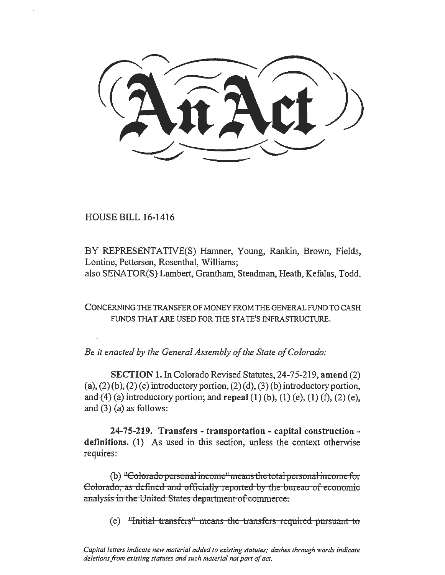HOUSE BILL 16-1416

BY REPRESENTATIVE(S) Hamner, Young, Rankin, Brown, Fields, Lontine, Pettersen, Rosenthal, Williams; also SENATOR(S) Lambert, Grantham, Steadman, Heath, Kefalas, Todd.

CONCERNING TIIE TRANSFER OF MONEY FROM THE GENERAL FUND TO CASH FUNDS THAT ARE USED FOR THE STATE'S INFRASTRUCTURE.

*Be it enacted by the General Assembly of the State of Colorado:* 

SECTION 1. In Colorado Revised Statutes, 24-75-219, amend (2) (a),  $(2)(b)$ ,  $(2)(c)$  introductory portion,  $(2)(d)$ ,  $(3)(b)$  introductory portion, and (4) (a) introductory portion; and repeal (1) (b), (1) (e), (1) (f), (2) (e), and (3) (a) as follows:

24-75-219. Transfers - transportation - capital construction definitions. (I) As used in this section, unless the context otherwise requires:

(b) "Colorado personal income" means the total personal income for Colorado, as defined and officially reported by the bureau of economic analysis in the United States department of commerce.

 $(e)$  "Initial transfers" means the transfers required pursuant to

*Cap ital letters indicate new material added to existing statutes; dashes through words indicate deletions from existing statutes and such material not part of act.*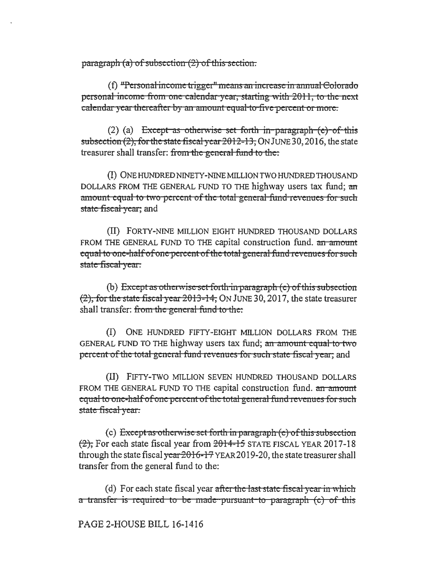paragraph (a) of subsection (2) of this section.

 $(f)$  "Personal income trigger" means an increase in annual Colorado personal income fiom one calendar yeat, starting with 2011, to the next calendar year thereafter by an amount equal to five percent or more.

(2) (a) Except as otherwise set forth in paragraph  $(e)$  of this subsection (2), fot the state fiscal *ycat* 2012-13, ON JUNE30,2016, the state treasurer shall transfer: from the general fund to the.

(I) ONEHUNDREDNINETY-NINEMILLIONTWOHUNDREDTIIOUSAND DOLLARS FROM THE GENERAL FUND TO THE highway users tax fund; an amount equal to two percent of the total general fund revenues for such state fiscal year; and

(II) FORTY-NINE MILLION EIGHT HUNDRED THOUSAND DOLLARS FROM THE GENERAL FUND TO THE capital construction fund. an amount equal to one-half of one percent of the total general fund revenues for such state fiscal *y* car.

(b) Except as otherwise set forth in paragraph  $(e)$  of this subsection  $(2)$ , for the state fiscal year  $2013-14$ , ON JUNE 30, 2017, the state treasurer shall transfer: from the general fund to the.

(I) ONE HUNDRED FIFTY-EIGHT MILLION DOLLARS FROM THE GENERAL FUND TO THE highway users tax fund; an amount equal to two percent of the total general fund revenues for such state fiscal year; and

(II) FIFTY-TWO MILLION SEVEN HUNDRED THOUSAND DOLLARS FROM THE GENERAL FUND TO THE capital construction fund. an amount equal to one-half of one percent of the total general fund revenues for such state fiscal *y* eat.

(c) Except as otherwise set forth in paragraph  $(e)$  of this subsection  $\left(\frac{2}{2}\right)$ , For each state fiscal year from  $\frac{2014-15}{201}$  STATE FISCAL YEAR 2017-18 through the state fiscal  $\frac{\text{year}}{2016}$ -17 YEAR 2019-20, the state treasurer shall transfer from the general fund to the:

(d) For each state fiscal year after the last state fiscal year in which a transfer is required to be made pursuant to paragraph (c) of this

PAGE 2-HOUSE BILL 16-1416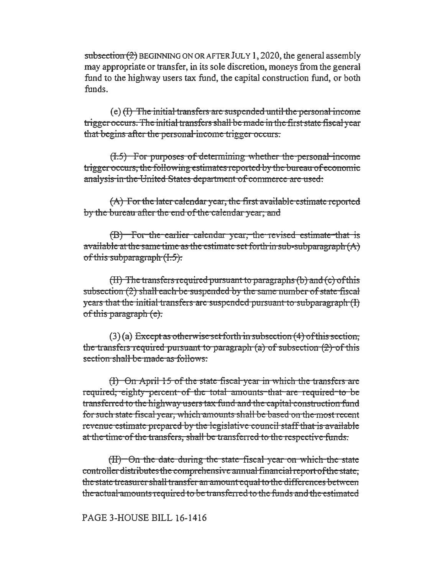subsection (2) BEGINNING ON OR AFTER JULY 1, 2020, the general assembly may appropriate or transfer, in its sole discretion, moneys from the general fund to the highway users tax fund, the capital construction fund, or both funds.

 $(e)$  (I) The initial transfers are suspended until the personal income trigger occurs. The initial transfers shall be made in the first state fiscal year that begins after the personal-income trigger occurs.

 $(1.5)$  For purposes of determining whether the personal income trigger occurs, the following estimates reported by the bureau of economic analysis in the United States department of commerce are used.

 $(A)$  For the later calendar year, the first available estimate reported by the bureau after the end of the calendar year, and

(B) For the earlier calendar year, the revised estimate that is available at the same time as the estimate set forth in sub-subparagraph  $(A)$ of this subparagraph  $(1.5)$ .

 $(H)$  The transfers required pursuant to paragraphs (b) and (c) of this subsection (2) shall each be suspended by the same number of state fiscal years that the initial transfers are suspended pursuant to subparagraph (I) of this paragraph (c).

 $(3)$  (a) Except as otherwise set forth in subsection (4) of this section, the transfers required pursuant to paragraph  $(a)$  of subsection  $(2)$  of this section shall be made as follows:

(I) On April 15 of the state fiscal year in which the transfers arc required, eighty percent of the total amounts that are required to be transferred to the highway users tax fund and the capital construction fund for such state fiscal year, which amounts shall be based on the most recent revenue estimate prepared by the legislative council staff that is available at the time of the transfers, shall be transferred to the respective funds.

 $(H)$  - On the date during the state fiscal year on which the state controller distributes the comprehensive annual financial report of the state, the state treasurer shall transfer an amount equal to the differences between the actual amounts required to be transferred to the funds and the estimated

## PAGE 3-HOUSE BILL 16-1416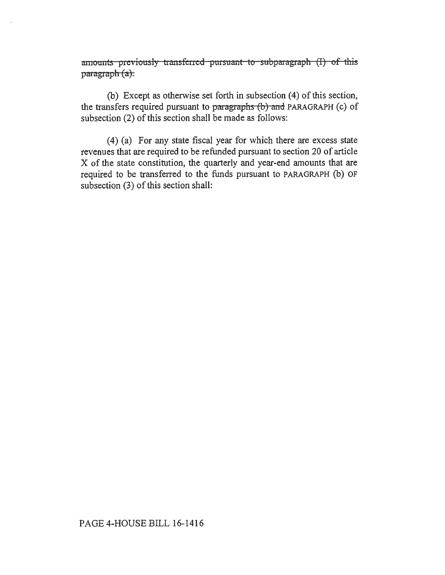amounts previously transferred pursuant to subparagraph (I) of this  $parazraph (a).$ 

(b) Except as otherwise set forth in subsection (4) of this section, the transfers required pursuant to paragraphs  $(b)$  and PARAGRAPH (c) of subsection (2) of this section shall be made as follows:

(4) (a) For any state fiscal year for which there are excess state revenues that are required to be refunded pursuant to section 20 of article X of the state constitution, the quarterly and year-end amounts that are required to be transferred to the funds pursuant to PARAGRAPH (b) OF subsection (3) of this section shall: